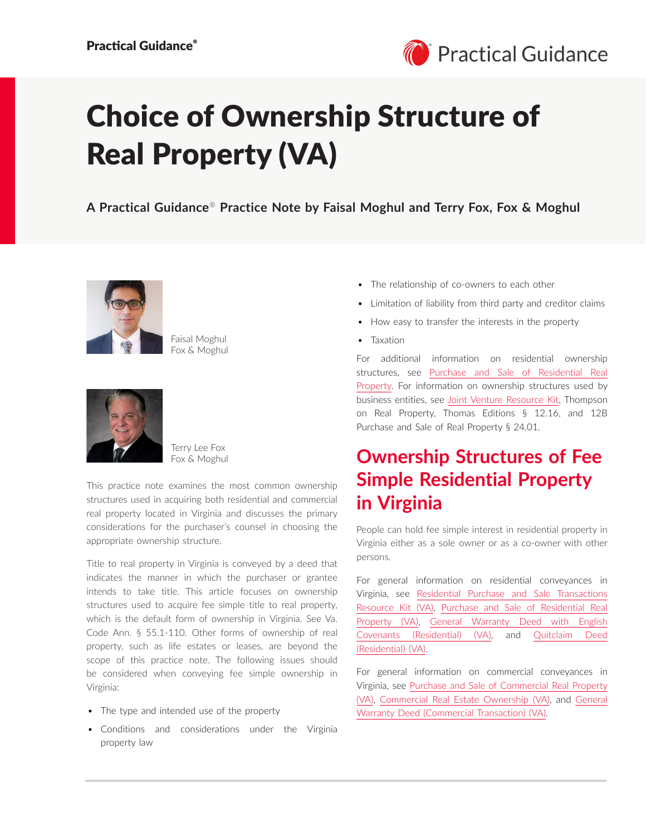

# Choice of Ownership Structure of Real Property (VA)

**A Practical Guidance**® **Practice Note by Faisal Moghul and Terry Fox, Fox & Moghul**



Faisal Moghul Fox & Moghul



Terry Lee Fox Fox & Moghul

This practice note examines the most common ownership structures used in acquiring both residential and commercial real property located in Virginia and discusses the primary considerations for the purchaser's counsel in choosing the appropriate ownership structure.

Title to real property in Virginia is conveyed by a deed that indicates the manner in which the purchaser or grantee intends to take title. This article focuses on ownership structures used to acquire fee simple title to real property, which is the default form of ownership in Virginia. See Va. Code Ann. § 55.1-110. Other forms of ownership of real property, such as life estates or leases, are beyond the scope of this practice note. The following issues should be considered when conveying fee simple ownership in Virginia:

- The type and intended use of the property
- Conditions and considerations under the Virginia property law
- The relationship of co-owners to each other
- Limitation of liability from third party and creditor claims
- How easy to transfer the interests in the property
- Taxation

For additional information on residential ownership structures, see [Purchase and Sale of Residential Real](https://advance.lexis.com/open/document/lpadocument/?pdmfid=1000522&pddocfullpath=%2Fshared%2Fdocument%2Fanalytical-materials%2Furn%3AcontentItem%3A5J9S-1B51-FFMK-M1F9-00000-00&pdcontentcomponentid=500749&pdteaserkey=sr0&pditab=allpods&ecomp=-trg&earg=sr0)  [Property](https://advance.lexis.com/open/document/lpadocument/?pdmfid=1000522&pddocfullpath=%2Fshared%2Fdocument%2Fanalytical-materials%2Furn%3AcontentItem%3A5J9S-1B51-FFMK-M1F9-00000-00&pdcontentcomponentid=500749&pdteaserkey=sr0&pditab=allpods&ecomp=-trg&earg=sr0). For information on ownership structures used by business entities, see [Joint Venture Resource Kit,](https://advance.lexis.com/open/document/lpadocument/?pdmfid=1000522&pddocfullpath=%2Fshared%2Fdocument%2Fanalytical-materials%2Furn%3AcontentItem%3A5PTC-GFX1-F22N-X2HK-00000-00&pdcontentcomponentid=500749&pdteaserkey=sr0&pditab=allpods&ecomp=-trg&earg=sr0) Thompson on Real Property, Thomas Editions § 12.16, and 12B Purchase and Sale of Real Property § 24.01.

# **Ownership Structures of Fee Simple Residential Property in Virginia**

People can hold fee simple interest in residential property in Virginia either as a sole owner or as a co-owner with other persons.

For general information on residential conveyances in Virginia, see [Residential Purchase and Sale Transactions](https://advance.lexis.com/open/document/lpadocument/?pdmfid=1000522&pddocfullpath=%2Fshared%2Fdocument%2Fanalytical-materials%2Furn%3AcontentItem%3A64D5-JMP1-JSJC-X1NM-00000-00&pdcontentcomponentid=500749&pdteaserkey=sr0&pditab=allpods&ecomp=-trg&earg=sr0)  [Resource Kit \(VA\),](https://advance.lexis.com/open/document/lpadocument/?pdmfid=1000522&pddocfullpath=%2Fshared%2Fdocument%2Fanalytical-materials%2Furn%3AcontentItem%3A64D5-JMP1-JSJC-X1NM-00000-00&pdcontentcomponentid=500749&pdteaserkey=sr0&pditab=allpods&ecomp=-trg&earg=sr0) [Purchase and Sale of Residential Real](https://advance.lexis.com/open/document/lpadocument/?pdmfid=1000522&pddocfullpath=%2Fshared%2Fdocument%2Fanalytical-materials%2Furn%3AcontentItem%3A648G-F6C1-FG12-6248-00000-00&pdcontentcomponentid=500749&pdteaserkey=sr0&pditab=allpods&ecomp=-trg&earg=sr0)  [Property \(VA\),](https://advance.lexis.com/open/document/lpadocument/?pdmfid=1000522&pddocfullpath=%2Fshared%2Fdocument%2Fanalytical-materials%2Furn%3AcontentItem%3A648G-F6C1-FG12-6248-00000-00&pdcontentcomponentid=500749&pdteaserkey=sr0&pditab=allpods&ecomp=-trg&earg=sr0) [General Warranty Deed with English](https://advance.lexis.com/open/document/lpadocument/?pdmfid=1000522&pddocfullpath=%2Fshared%2Fdocument%2Fforms%2Furn%3AcontentItem%3A63X0-YY41-F8D9-M0BJ-00000-00&pdcontentcomponentid=500752&pdteaserkey=sr0&pditab=allpods&ecomp=-trg&earg=sr0)  [Covenants \(Residential\) \(VA\),](https://advance.lexis.com/open/document/lpadocument/?pdmfid=1000522&pddocfullpath=%2Fshared%2Fdocument%2Fforms%2Furn%3AcontentItem%3A63X0-YY41-F8D9-M0BJ-00000-00&pdcontentcomponentid=500752&pdteaserkey=sr0&pditab=allpods&ecomp=-trg&earg=sr0) and [Quitclaim Deed](https://advance.lexis.com/open/document/lpadocument/?pdmfid=1000522&pddocfullpath=%2Fshared%2Fdocument%2Fforms%2Furn%3AcontentItem%3A63X0-YY41-F8D9-M0BG-00000-00&pdcontentcomponentid=500752&pdteaserkey=sr0&pditab=allpods&ecomp=-trg&earg=sr0)  [\(Residential\) \(VA\).](https://advance.lexis.com/open/document/lpadocument/?pdmfid=1000522&pddocfullpath=%2Fshared%2Fdocument%2Fforms%2Furn%3AcontentItem%3A63X0-YY41-F8D9-M0BG-00000-00&pdcontentcomponentid=500752&pdteaserkey=sr0&pditab=allpods&ecomp=-trg&earg=sr0)

For general information on commercial conveyances in Virginia, see [Purchase and Sale of Commercial Real Property](https://advance.lexis.com/open/document/lpadocument/?pdmfid=1000522&pddocfullpath=%2Fshared%2Fdocument%2Fanalytical-materials%2Furn%3AcontentItem%3A640S-JM61-JGBH-B4YB-00000-00&pdcontentcomponentid=500749&pdteaserkey=sr0&pditab=allpods&ecomp=-trg&earg=sr0)  [\(VA\)](https://advance.lexis.com/open/document/lpadocument/?pdmfid=1000522&pddocfullpath=%2Fshared%2Fdocument%2Fanalytical-materials%2Furn%3AcontentItem%3A640S-JM61-JGBH-B4YB-00000-00&pdcontentcomponentid=500749&pdteaserkey=sr0&pditab=allpods&ecomp=-trg&earg=sr0), [Commercial Real Estate Ownership \(VA\)](https://advance.lexis.com/open/document/lpadocument/?pdmfid=1000522&pddocfullpath=%2Fshared%2Fdocument%2Fanalytical-materials%2Furn%3AcontentItem%3A5YH0-Y3N1-FFMK-M307-00000-00&pdcontentcomponentid=234344&pdteaserkey=sr1&pditab=allpods&ecomp=-trg&earg=sr1), and [General](https://advance.lexis.com/open/document/lpadocument/?pdmfid=1000522&pddocfullpath=%2Fshared%2Fdocument%2Fforms%2Furn%3AcontentItem%3A5KJ3-BRT1-JJD0-G1XS-00000-00&pdcontentcomponentid=500752&pdteaserkey=sr0&pditab=allpods&ecomp=-trg&earg=sr0) [Warranty Deed \(Commercial Transaction\) \(VA\).](https://advance.lexis.com/open/document/lpadocument/?pdmfid=1000522&pddocfullpath=%2Fshared%2Fdocument%2Fforms%2Furn%3AcontentItem%3A5KJ3-BRT1-JJD0-G1XS-00000-00&pdcontentcomponentid=500752&pdteaserkey=sr0&pditab=allpods&ecomp=-trg&earg=sr0)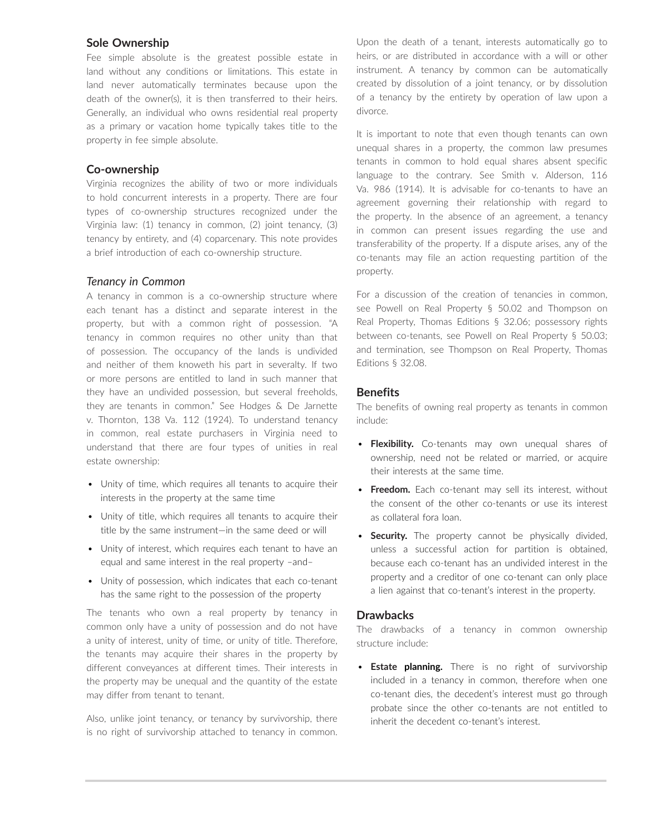#### **Sole Ownership**

Fee simple absolute is the greatest possible estate in land without any conditions or limitations. This estate in land never automatically terminates because upon the death of the owner(s), it is then transferred to their heirs. Generally, an individual who owns residential real property as a primary or vacation home typically takes title to the property in fee simple absolute.

#### **Co-ownership**

Virginia recognizes the ability of two or more individuals to hold concurrent interests in a property. There are four types of co-ownership structures recognized under the Virginia law: (1) tenancy in common, (2) joint tenancy, (3) tenancy by entirety, and (4) coparcenary. This note provides a brief introduction of each co-ownership structure.

#### *Tenancy in Common*

A tenancy in common is a co-ownership structure where each tenant has a distinct and separate interest in the property, but with a common right of possession. "A tenancy in common requires no other unity than that of possession. The occupancy of the lands is undivided and neither of them knoweth his part in severalty. If two or more persons are entitled to land in such manner that they have an undivided possession, but several freeholds, they are tenants in common." See Hodges & De Jarnette v. Thornton, 138 Va. 112 (1924). To understand tenancy in common, real estate purchasers in Virginia need to understand that there are four types of unities in real estate ownership:

- Unity of time, which requires all tenants to acquire their interests in the property at the same time
- Unity of title, which requires all tenants to acquire their title by the same instrument—in the same deed or will
- Unity of interest, which requires each tenant to have an equal and same interest in the real property –and–
- Unity of possession, which indicates that each co-tenant has the same right to the possession of the property

The tenants who own a real property by tenancy in common only have a unity of possession and do not have a unity of interest, unity of time, or unity of title. Therefore, the tenants may acquire their shares in the property by different conveyances at different times. Their interests in the property may be unequal and the quantity of the estate may differ from tenant to tenant.

Also, unlike joint tenancy, or tenancy by survivorship, there is no right of survivorship attached to tenancy in common. Upon the death of a tenant, interests automatically go to heirs, or are distributed in accordance with a will or other instrument. A tenancy by common can be automatically created by dissolution of a joint tenancy, or by dissolution of a tenancy by the entirety by operation of law upon a divorce.

It is important to note that even though tenants can own unequal shares in a property, the common law presumes tenants in common to hold equal shares absent specific language to the contrary. See Smith v. Alderson, 116 Va. 986 (1914). It is advisable for co-tenants to have an agreement governing their relationship with regard to the property. In the absence of an agreement, a tenancy in common can present issues regarding the use and transferability of the property. If a dispute arises, any of the co-tenants may file an action requesting partition of the property.

For a discussion of the creation of tenancies in common, see Powell on Real Property § 50.02 and Thompson on Real Property, Thomas Editions § 32.06; possessory rights between co-tenants, see Powell on Real Property § 50.03; and termination, see Thompson on Real Property, Thomas Editions § 32.08.

#### **Benefits**

The benefits of owning real property as tenants in common include:

- **Flexibility.** Co-tenants may own unequal shares of ownership, need not be related or married, or acquire their interests at the same time.
- **Freedom.** Each co-tenant may sell its interest, without the consent of the other co-tenants or use its interest as collateral fora loan.
- **Security.** The property cannot be physically divided, unless a successful action for partition is obtained, because each co-tenant has an undivided interest in the property and a creditor of one co-tenant can only place a lien against that co-tenant's interest in the property.

#### **Drawbacks**

The drawbacks of a tenancy in common ownership structure include:

• **Estate planning.** There is no right of survivorship included in a tenancy in common, therefore when one co-tenant dies, the decedent's interest must go through probate since the other co-tenants are not entitled to inherit the decedent co-tenant's interest.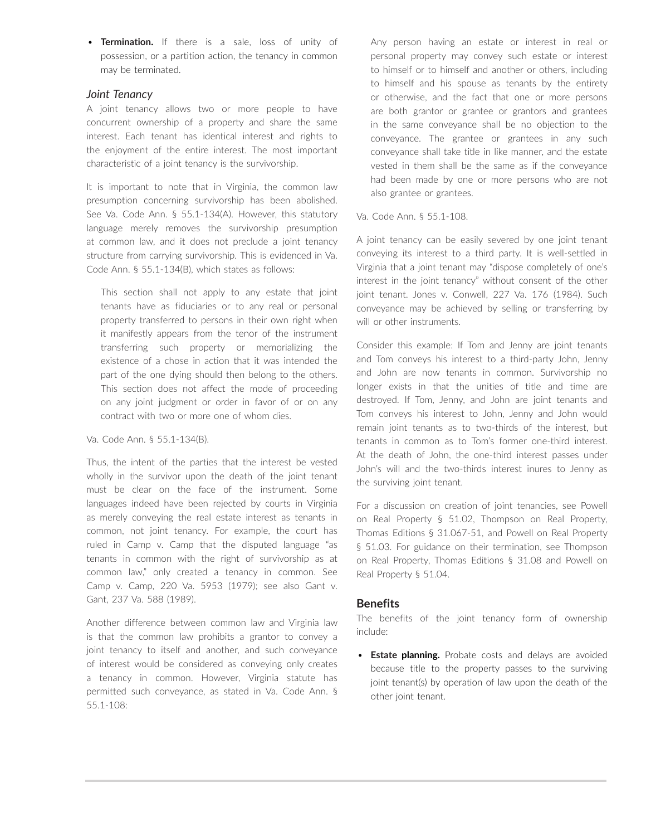• **Termination.** If there is a sale, loss of unity of possession, or a partition action, the tenancy in common may be terminated.

### *Joint Tenancy*

A joint tenancy allows two or more people to have concurrent ownership of a property and share the same interest. Each tenant has identical interest and rights to the enjoyment of the entire interest. The most important characteristic of a joint tenancy is the survivorship.

It is important to note that in Virginia, the common law presumption concerning survivorship has been abolished. See Va. Code Ann. § 55.1-134(A). However, this statutory language merely removes the survivorship presumption at common law, and it does not preclude a joint tenancy structure from carrying survivorship. This is evidenced in Va. Code Ann. § 55.1-134(B), which states as follows:

This section shall not apply to any estate that joint tenants have as fiduciaries or to any real or personal property transferred to persons in their own right when it manifestly appears from the tenor of the instrument transferring such property or memorializing the existence of a chose in action that it was intended the part of the one dying should then belong to the others. This section does not affect the mode of proceeding on any joint judgment or order in favor of or on any contract with two or more one of whom dies.

Va. Code Ann. § 55.1-134(B).

Thus, the intent of the parties that the interest be vested wholly in the survivor upon the death of the joint tenant must be clear on the face of the instrument. Some languages indeed have been rejected by courts in Virginia as merely conveying the real estate interest as tenants in common, not joint tenancy. For example, the court has ruled in Camp v. Camp that the disputed language "as tenants in common with the right of survivorship as at common law," only created a tenancy in common. See Camp v. Camp, 220 Va. 5953 (1979); see also Gant v. Gant, 237 Va. 588 (1989).

Another difference between common law and Virginia law is that the common law prohibits a grantor to convey a joint tenancy to itself and another, and such conveyance of interest would be considered as conveying only creates a tenancy in common. However, Virginia statute has permitted such conveyance, as stated in Va. Code Ann. § 55.1-108:

Any person having an estate or interest in real or personal property may convey such estate or interest to himself or to himself and another or others, including to himself and his spouse as tenants by the entirety or otherwise, and the fact that one or more persons are both grantor or grantee or grantors and grantees in the same conveyance shall be no objection to the conveyance. The grantee or grantees in any such conveyance shall take title in like manner, and the estate vested in them shall be the same as if the conveyance had been made by one or more persons who are not also grantee or grantees.

Va. Code Ann. § 55.1-108.

A joint tenancy can be easily severed by one joint tenant conveying its interest to a third party. It is well-settled in Virginia that a joint tenant may "dispose completely of one's interest in the joint tenancy" without consent of the other joint tenant. Jones v. Conwell, 227 Va. 176 (1984). Such conveyance may be achieved by selling or transferring by will or other instruments.

Consider this example: If Tom and Jenny are joint tenants and Tom conveys his interest to a third-party John, Jenny and John are now tenants in common. Survivorship no longer exists in that the unities of title and time are destroyed. If Tom, Jenny, and John are joint tenants and Tom conveys his interest to John, Jenny and John would remain joint tenants as to two-thirds of the interest, but tenants in common as to Tom's former one-third interest. At the death of John, the one-third interest passes under John's will and the two-thirds interest inures to Jenny as the surviving joint tenant.

For a discussion on creation of joint tenancies, see Powell on Real Property § 51.02, Thompson on Real Property, Thomas Editions § 31.067-51, and Powell on Real Property § 51.03. For guidance on their termination, see Thompson on Real Property, Thomas Editions § 31.08 and Powell on Real Property § 51.04.

# **Benefits**

The benefits of the joint tenancy form of ownership include:

• **Estate planning.** Probate costs and delays are avoided because title to the property passes to the surviving joint tenant(s) by operation of law upon the death of the other joint tenant.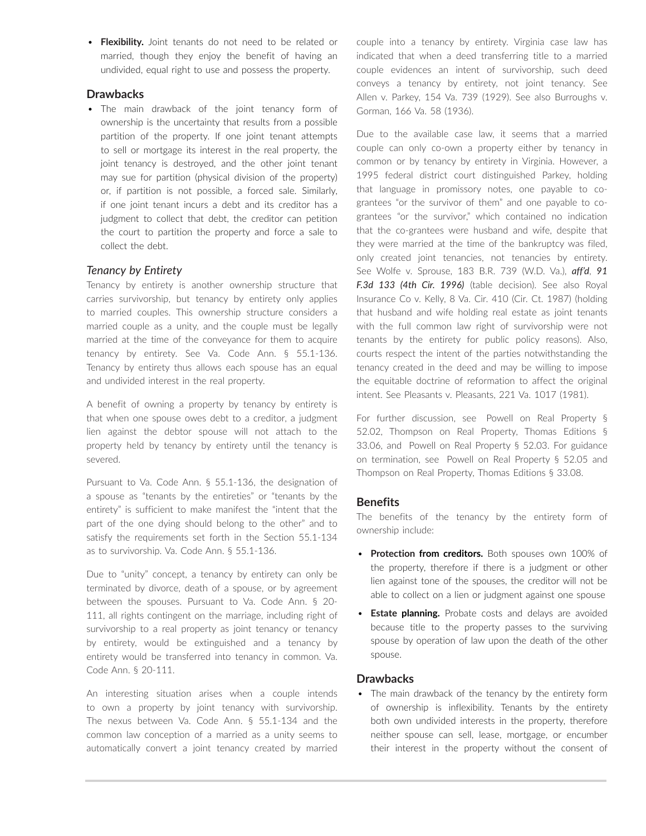• **Flexibility.** Joint tenants do not need to be related or married, though they enjoy the benefit of having an undivided, equal right to use and possess the property.

# **Drawbacks**

• The main drawback of the joint tenancy form of ownership is the uncertainty that results from a possible partition of the property. If one joint tenant attempts to sell or mortgage its interest in the real property, the joint tenancy is destroyed, and the other joint tenant may sue for partition (physical division of the property) or, if partition is not possible, a forced sale. Similarly, if one joint tenant incurs a debt and its creditor has a judgment to collect that debt, the creditor can petition the court to partition the property and force a sale to collect the debt.

# *Tenancy by Entirety*

Tenancy by entirety is another ownership structure that carries survivorship, but tenancy by entirety only applies to married couples. This ownership structure considers a married couple as a unity, and the couple must be legally married at the time of the conveyance for them to acquire tenancy by entirety. See Va. Code Ann. § 55.1-136. Tenancy by entirety thus allows each spouse has an equal and undivided interest in the real property.

A benefit of owning a property by tenancy by entirety is that when one spouse owes debt to a creditor, a judgment lien against the debtor spouse will not attach to the property held by tenancy by entirety until the tenancy is severed.

Pursuant to Va. Code Ann. § 55.1-136, the designation of a spouse as "tenants by the entireties" or "tenants by the entirety" is sufficient to make manifest the "intent that the part of the one dying should belong to the other" and to satisfy the requirements set forth in the Section 55.1-134 as to survivorship. Va. Code Ann. § 55.1-136.

Due to "unity" concept, a tenancy by entirety can only be terminated by divorce, death of a spouse, or by agreement between the spouses. Pursuant to Va. Code Ann. § 20- 111, all rights contingent on the marriage, including right of survivorship to a real property as joint tenancy or tenancy by entirety, would be extinguished and a tenancy by entirety would be transferred into tenancy in common. Va. Code Ann. § 20-111.

An interesting situation arises when a couple intends to own a property by joint tenancy with survivorship. The nexus between Va. Code Ann. § 55.1-134 and the common law conception of a married as a unity seems to automatically convert a joint tenancy created by married couple into a tenancy by entirety. Virginia case law has indicated that when a deed transferring title to a married couple evidences an intent of survivorship, such deed conveys a tenancy by entirety, not joint tenancy. See Allen v. Parkey, 154 Va. 739 (1929). See also Burroughs v. Gorman, 166 Va. 58 (1936).

Due to the available case law, it seems that a married couple can only co-own a property either by tenancy in common or by tenancy by entirety in Virginia. However, a 1995 federal district court distinguished Parkey, holding that language in promissory notes, one payable to cograntees "or the survivor of them" and one payable to cograntees "or the survivor," which contained no indication that the co-grantees were husband and wife, despite that they were married at the time of the bankruptcy was filed, only created joint tenancies, not tenancies by entirety. See Wolfe v. Sprouse, 183 B.R. 739 (W.D. Va.), *aff'd*, *91 F.3d 133 (4th Cir. 1996)* (table decision). See also Royal Insurance Co v. Kelly, 8 Va. Cir. 410 (Cir. Ct. 1987) (holding that husband and wife holding real estate as joint tenants with the full common law right of survivorship were not tenants by the entirety for public policy reasons). Also, courts respect the intent of the parties notwithstanding the tenancy created in the deed and may be willing to impose the equitable doctrine of reformation to affect the original intent. See Pleasants v. Pleasants, 221 Va. 1017 (1981).

For further discussion, see  Powell on Real Property § 52.02, Thompson on Real Property, Thomas Editions § 33.06, and  Powell on Real Property § 52.03. For guidance on termination, see  Powell on Real Property § 52.05 and  Thompson on Real Property, Thomas Editions § 33.08.

# **Benefits**

The benefits of the tenancy by the entirety form of ownership include:

- **Protection from creditors.** Both spouses own 100% of the property, therefore if there is a judgment or other lien against tone of the spouses, the creditor will not be able to collect on a lien or judgment against one spouse
- **Estate planning.** Probate costs and delays are avoided because title to the property passes to the surviving spouse by operation of law upon the death of the other spouse.

#### **Drawbacks**

• The main drawback of the tenancy by the entirety form of ownership is inflexibility. Tenants by the entirety both own undivided interests in the property, therefore neither spouse can sell, lease, mortgage, or encumber their interest in the property without the consent of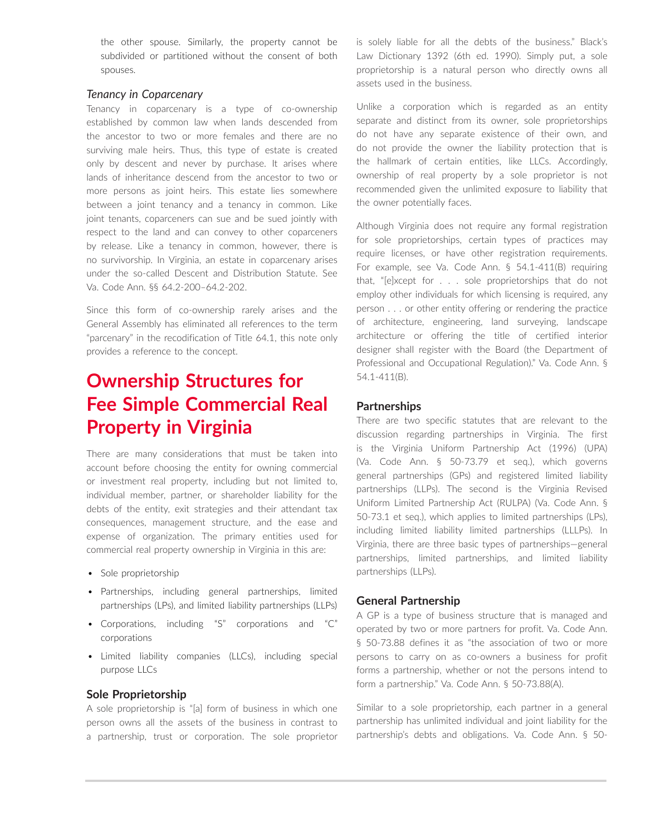the other spouse. Similarly, the property cannot be subdivided or partitioned without the consent of both spouses.

### *Tenancy in Coparcenary*

Tenancy in coparcenary is a type of co-ownership established by common law when lands descended from the ancestor to two or more females and there are no surviving male heirs. Thus, this type of estate is created only by descent and never by purchase. It arises where lands of inheritance descend from the ancestor to two or more persons as joint heirs. This estate lies somewhere between a joint tenancy and a tenancy in common. Like joint tenants, coparceners can sue and be sued jointly with respect to the land and can convey to other coparceners by release. Like a tenancy in common, however, there is no survivorship. In Virginia, an estate in coparcenary arises under the so-called Descent and Distribution Statute. See Va. Code Ann. §§ 64.2-200–64.2-202.

Since this form of co-ownership rarely arises and the General Assembly has eliminated all references to the term "parcenary" in the recodification of Title 64.1, this note only provides a reference to the concept.

# **Ownership Structures for Fee Simple Commercial Real Property in Virginia**

There are many considerations that must be taken into account before choosing the entity for owning commercial or investment real property, including but not limited to, individual member, partner, or shareholder liability for the debts of the entity, exit strategies and their attendant tax consequences, management structure, and the ease and expense of organization. The primary entities used for commercial real property ownership in Virginia in this are:

- Sole proprietorship
- Partnerships, including general partnerships, limited partnerships (LPs), and limited liability partnerships (LLPs)
- Corporations, including "S" corporations and "C" corporations
- Limited liability companies (LLCs), including special purpose LLCs

#### **Sole Proprietorship**

A sole proprietorship is "[a] form of business in which one person owns all the assets of the business in contrast to a partnership, trust or corporation. The sole proprietor is solely liable for all the debts of the business." Black's Law Dictionary 1392 (6th ed. 1990). Simply put, a sole proprietorship is a natural person who directly owns all assets used in the business.

Unlike a corporation which is regarded as an entity separate and distinct from its owner, sole proprietorships do not have any separate existence of their own, and do not provide the owner the liability protection that is the hallmark of certain entities, like LLCs. Accordingly, ownership of real property by a sole proprietor is not recommended given the unlimited exposure to liability that the owner potentially faces.

Although Virginia does not require any formal registration for sole proprietorships, certain types of practices may require licenses, or have other registration requirements. For example, see Va. Code Ann. § 54.1-411(B) requiring that, "[e]xcept for . . . sole proprietorships that do not employ other individuals for which licensing is required, any person . . . or other entity offering or rendering the practice of architecture, engineering, land surveying, landscape architecture or offering the title of certified interior designer shall register with the Board (the Department of Professional and Occupational Regulation)." Va. Code Ann. § 54.1-411(B).

# **Partnerships**

There are two specific statutes that are relevant to the discussion regarding partnerships in Virginia. The first is the Virginia Uniform Partnership Act (1996) (UPA) (Va. Code Ann. § 50-73.79 et seq.), which governs general partnerships (GPs) and registered limited liability partnerships (LLPs). The second is the Virginia Revised Uniform Limited Partnership Act (RULPA) (Va. Code Ann. § 50-73.1 et seq.), which applies to limited partnerships (LPs), including limited liability limited partnerships (LLLPs). In Virginia, there are three basic types of partnerships—general partnerships, limited partnerships, and limited liability partnerships (LLPs).

#### **General Partnership**

A GP is a type of business structure that is managed and operated by two or more partners for profit. Va. Code Ann. § 50-73.88 defines it as "the association of two or more persons to carry on as co-owners a business for profit forms a partnership, whether or not the persons intend to form a partnership." Va. Code Ann. § 50-73.88(A).

Similar to a sole proprietorship, each partner in a general partnership has unlimited individual and joint liability for the partnership's debts and obligations. Va. Code Ann. § 50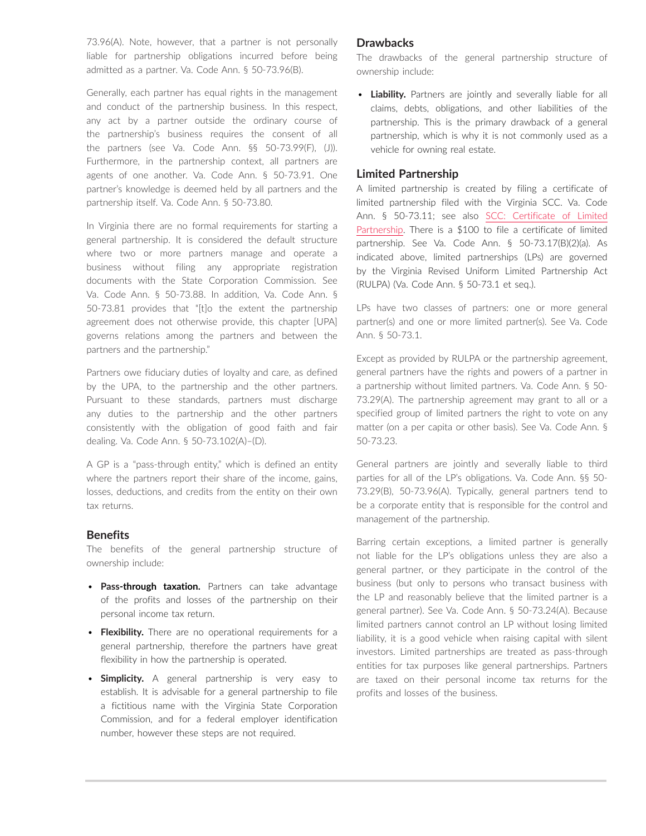73.96(A). Note, however, that a partner is not personally liable for partnership obligations incurred before being admitted as a partner. Va. Code Ann. § 50-73.96(B).

Generally, each partner has equal rights in the management and conduct of the partnership business. In this respect, any act by a partner outside the ordinary course of the partnership's business requires the consent of all the partners (see Va. Code Ann. §§ 50-73.99(F), (J)). Furthermore, in the partnership context, all partners are agents of one another. Va. Code Ann. § 50-73.91. One partner's knowledge is deemed held by all partners and the partnership itself. Va. Code Ann. § 50-73.80.

In Virginia there are no formal requirements for starting a general partnership. It is considered the default structure where two or more partners manage and operate a business without filing any appropriate registration documents with the State Corporation Commission. See Va. Code Ann. § 50-73.88. In addition, Va. Code Ann. § 50-73.81 provides that "[t]o the extent the partnership agreement does not otherwise provide, this chapter [UPA] governs relations among the partners and between the partners and the partnership."

Partners owe fiduciary duties of loyalty and care, as defined by the UPA, to the partnership and the other partners. Pursuant to these standards, partners must discharge any duties to the partnership and the other partners consistently with the obligation of good faith and fair dealing. Va. Code Ann. § 50-73.102(A)–(D).

A GP is a "pass-through entity," which is defined an entity where the partners report their share of the income, gains, losses, deductions, and credits from the entity on their own tax returns.

#### **Benefits**

The benefits of the general partnership structure of ownership include:

- **Pass-through taxation.** Partners can take advantage of the profits and losses of the partnership on their personal income tax return.
- **Flexibility.** There are no operational requirements for a general partnership, therefore the partners have great flexibility in how the partnership is operated.
- **Simplicity.** A general partnership is very easy to establish. It is advisable for a general partnership to file a fictitious name with the Virginia State Corporation Commission, and for a federal employer identification number, however these steps are not required.

#### **Drawbacks**

The drawbacks of the general partnership structure of ownership include:

• **Liability.** Partners are jointly and severally liable for all claims, debts, obligations, and other liabilities of the partnership. This is the primary drawback of a general partnership, which is why it is not commonly used as a vehicle for owning real estate.

#### **Limited Partnership**

A limited partnership is created by filing a certificate of limited partnership filed with the Virginia SCC. Va. Code Ann. § 50-73.11; see also [SCC: Certificate of Limited](https://www.scc.virginia.gov/pages/Virginia-Limited-Partnerships)  [Partnership](https://www.scc.virginia.gov/pages/Virginia-Limited-Partnerships). There is a \$100 to file a certificate of limited partnership. See Va. Code Ann. § 50-73.17(B)(2)(a). As indicated above, limited partnerships (LPs) are governed by the Virginia Revised Uniform Limited Partnership Act (RULPA) (Va. Code Ann. § 50-73.1 et seq.).

LPs have two classes of partners: one or more general partner(s) and one or more limited partner(s). See Va. Code Ann. § 50-73.1.

Except as provided by RULPA or the partnership agreement, general partners have the rights and powers of a partner in a partnership without limited partners. Va. Code Ann. § 50- 73.29(A). The partnership agreement may grant to all or a specified group of limited partners the right to vote on any matter (on a per capita or other basis). See Va. Code Ann. § 50-73.23.

General partners are jointly and severally liable to third parties for all of the LP's obligations. Va. Code Ann. §§ 50- 73.29(B), 50-73.96(A). Typically, general partners tend to be a corporate entity that is responsible for the control and management of the partnership.

Barring certain exceptions, a limited partner is generally not liable for the LP's obligations unless they are also a general partner, or they participate in the control of the business (but only to persons who transact business with the LP and reasonably believe that the limited partner is a general partner). See Va. Code Ann. § 50-73.24(A). Because limited partners cannot control an LP without losing limited liability, it is a good vehicle when raising capital with silent investors. Limited partnerships are treated as pass-through entities for tax purposes like general partnerships. Partners are taxed on their personal income tax returns for the profits and losses of the business.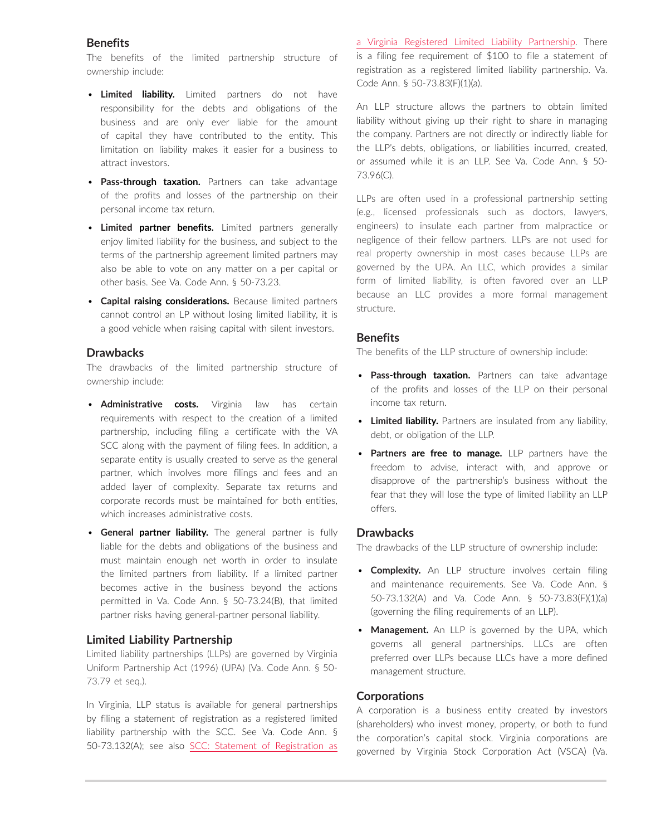#### **Benefits**

The benefits of the limited partnership structure of ownership include:

- **Limited liability.** Limited partners do not have responsibility for the debts and obligations of the business and are only ever liable for the amount of capital they have contributed to the entity. This limitation on liability makes it easier for a business to attract investors.
- **Pass-through taxation.** Partners can take advantage of the profits and losses of the partnership on their personal income tax return.
- **Limited partner benefits.** Limited partners generally enjoy limited liability for the business, and subject to the terms of the partnership agreement limited partners may also be able to vote on any matter on a per capital or other basis. See Va. Code Ann. § 50-73.23.
- **Capital raising considerations.** Because limited partners cannot control an LP without losing limited liability, it is a good vehicle when raising capital with silent investors.

#### **Drawbacks**

The drawbacks of the limited partnership structure of ownership include:

- **Administrative costs.** Virginia law has certain requirements with respect to the creation of a limited partnership, including filing a certificate with the VA SCC along with the payment of filing fees. In addition, a separate entity is usually created to serve as the general partner, which involves more filings and fees and an added layer of complexity. Separate tax returns and corporate records must be maintained for both entities, which increases administrative costs.
- **General partner liability.** The general partner is fully liable for the debts and obligations of the business and must maintain enough net worth in order to insulate the limited partners from liability. If a limited partner becomes active in the business beyond the actions permitted in Va. Code Ann. § 50-73.24(B), that limited partner risks having general-partner personal liability.

#### **Limited Liability Partnership**

Limited liability partnerships (LLPs) are governed by Virginia Uniform Partnership Act (1996) (UPA) (Va. Code Ann. § 50- 73.79 et seq.).

In Virginia, LLP status is available for general partnerships by filing a statement of registration as a registered limited liability partnership with the SCC. See Va. Code Ann. § 50-73.132(A); see also [SCC: Statement of Registration as](https://www.scc.virginia.gov/pages/Virginia-Registered-Limited-Liability-Partnerships)  [a Virginia Registered Limited Liability Partnership](https://www.scc.virginia.gov/pages/Virginia-Registered-Limited-Liability-Partnerships). There is a filing fee requirement of \$100 to file a statement of registration as a registered limited liability partnership. Va. Code Ann. § 50-73.83(F)(1)(a).

An LLP structure allows the partners to obtain limited liability without giving up their right to share in managing the company. Partners are not directly or indirectly liable for the LLP's debts, obligations, or liabilities incurred, created, or assumed while it is an LLP. See Va. Code Ann. § 50- 73.96(C).

LLPs are often used in a professional partnership setting (e.g., licensed professionals such as doctors, lawyers, engineers) to insulate each partner from malpractice or negligence of their fellow partners. LLPs are not used for real property ownership in most cases because LLPs are governed by the UPA. An LLC, which provides a similar form of limited liability, is often favored over an LLP because an LLC provides a more formal management structure.

#### **Benefits**

The benefits of the LLP structure of ownership include:

- **Pass-through taxation.** Partners can take advantage of the profits and losses of the LLP on their personal income tax return.
- **Limited liability.** Partners are insulated from any liability, debt, or obligation of the LLP.
- **Partners are free to manage.** LLP partners have the freedom to advise, interact with, and approve or disapprove of the partnership's business without the fear that they will lose the type of limited liability an LLP offers.

#### **Drawbacks**

The drawbacks of the LLP structure of ownership include:

- **Complexity.** An LLP structure involves certain filing and maintenance requirements. See Va. Code Ann. § 50-73.132(A) and Va. Code Ann. § 50-73.83(F)(1)(a) (governing the filing requirements of an LLP).
- **Management.** An LLP is governed by the UPA, which governs all general partnerships. LLCs are often preferred over LLPs because LLCs have a more defined management structure.

#### **Corporations**

A corporation is a business entity created by investors (shareholders) who invest money, property, or both to fund the corporation's capital stock. Virginia corporations are governed by Virginia Stock Corporation Act (VSCA) (Va.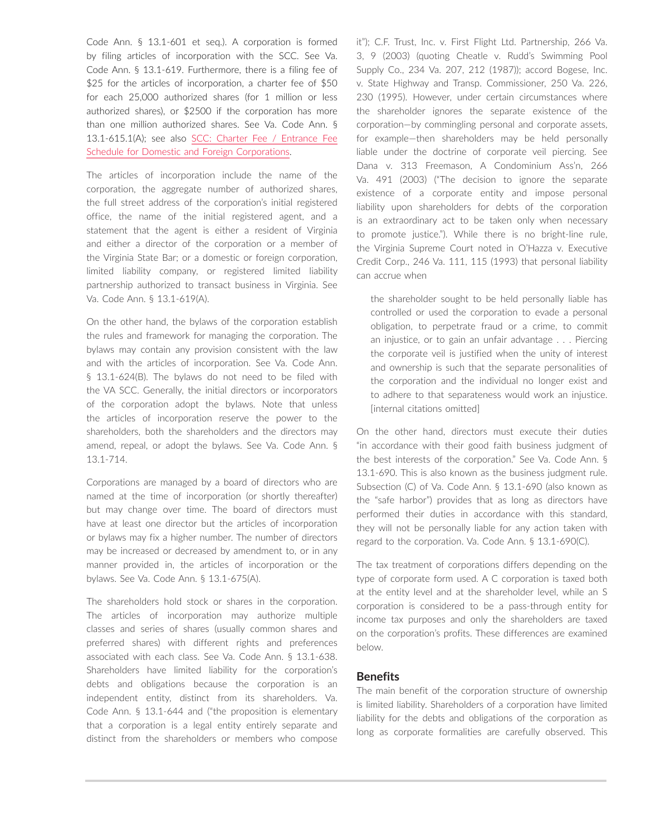Code Ann. § 13.1-601 et seq.). A corporation is formed by filing articles of incorporation with the SCC. See Va. Code Ann. § 13.1-619. Furthermore, there is a filing fee of \$25 for the articles of incorporation, a charter fee of \$50 for each 25,000 authorized shares (for 1 million or less authorized shares), or \$2500 if the corporation has more than one million authorized shares. See Va. Code Ann. § 13.1-615.1(A); see also [SCC: Charter Fee / Entrance Fee](https://www.scc.virginia.gov/getattachment/de953d7f-2bcd-459f-a5d5-c3102bac9ac0/cht_fee.pdf)  [Schedule for Domestic and Foreign Corporations.](https://www.scc.virginia.gov/getattachment/de953d7f-2bcd-459f-a5d5-c3102bac9ac0/cht_fee.pdf)

The articles of incorporation include the name of the corporation, the aggregate number of authorized shares, the full street address of the corporation's initial registered office, the name of the initial registered agent, and a statement that the agent is either a resident of Virginia and either a director of the corporation or a member of the Virginia State Bar; or a domestic or foreign corporation, limited liability company, or registered limited liability partnership authorized to transact business in Virginia. See Va. Code Ann. § 13.1-619(A).

On the other hand, the bylaws of the corporation establish the rules and framework for managing the corporation. The bylaws may contain any provision consistent with the law and with the articles of incorporation. See Va. Code Ann. § 13.1-624(B). The bylaws do not need to be filed with the VA SCC. Generally, the initial directors or incorporators of the corporation adopt the bylaws. Note that unless the articles of incorporation reserve the power to the shareholders, both the shareholders and the directors may amend, repeal, or adopt the bylaws. See Va. Code Ann. § 13.1-714.

Corporations are managed by a board of directors who are named at the time of incorporation (or shortly thereafter) but may change over time. The board of directors must have at least one director but the articles of incorporation or bylaws may fix a higher number. The number of directors may be increased or decreased by amendment to, or in any manner provided in, the articles of incorporation or the bylaws. See Va. Code Ann. § 13.1-675(A).

The shareholders hold stock or shares in the corporation. The articles of incorporation may authorize multiple classes and series of shares (usually common shares and preferred shares) with different rights and preferences associated with each class. See Va. Code Ann. § 13.1-638. Shareholders have limited liability for the corporation's debts and obligations because the corporation is an independent entity, distinct from its shareholders. Va. Code Ann. § 13.1-644 and ("the proposition is elementary that a corporation is a legal entity entirely separate and distinct from the shareholders or members who compose

it"); C.F. Trust, Inc. v. First Flight Ltd. Partnership, 266 Va. 3, 9 (2003) (quoting Cheatle v. Rudd's Swimming Pool Supply Co., 234 Va. 207, 212 (1987)); accord Bogese, Inc. v. State Highway and Transp. Commissioner, 250 Va. 226, 230 (1995). However, under certain circumstances where the shareholder ignores the separate existence of the corporation—by commingling personal and corporate assets, for example—then shareholders may be held personally liable under the doctrine of corporate veil piercing. See Dana v. 313 Freemason, A Condominium Ass'n, 266 Va. 491 (2003) ("The decision to ignore the separate existence of a corporate entity and impose personal liability upon shareholders for debts of the corporation is an extraordinary act to be taken only when necessary to promote justice."). While there is no bright-line rule, the Virginia Supreme Court noted in O'Hazza v. Executive Credit Corp., 246 Va. 111, 115 (1993) that personal liability can accrue when

the shareholder sought to be held personally liable has controlled or used the corporation to evade a personal obligation, to perpetrate fraud or a crime, to commit an injustice, or to gain an unfair advantage . . . Piercing the corporate veil is justified when the unity of interest and ownership is such that the separate personalities of the corporation and the individual no longer exist and to adhere to that separateness would work an injustice. [internal citations omitted]

On the other hand, directors must execute their duties "in accordance with their good faith business judgment of the best interests of the corporation." See Va. Code Ann. § 13.1-690. This is also known as the business judgment rule. Subsection (C) of Va. Code Ann. § 13.1-690 (also known as the "safe harbor") provides that as long as directors have performed their duties in accordance with this standard, they will not be personally liable for any action taken with regard to the corporation. Va. Code Ann. § 13.1-690(C).

The tax treatment of corporations differs depending on the type of corporate form used. A C corporation is taxed both at the entity level and at the shareholder level, while an S corporation is considered to be a pass-through entity for income tax purposes and only the shareholders are taxed on the corporation's profits. These differences are examined below.

#### **Benefits**

The main benefit of the corporation structure of ownership is limited liability. Shareholders of a corporation have limited liability for the debts and obligations of the corporation as long as corporate formalities are carefully observed. This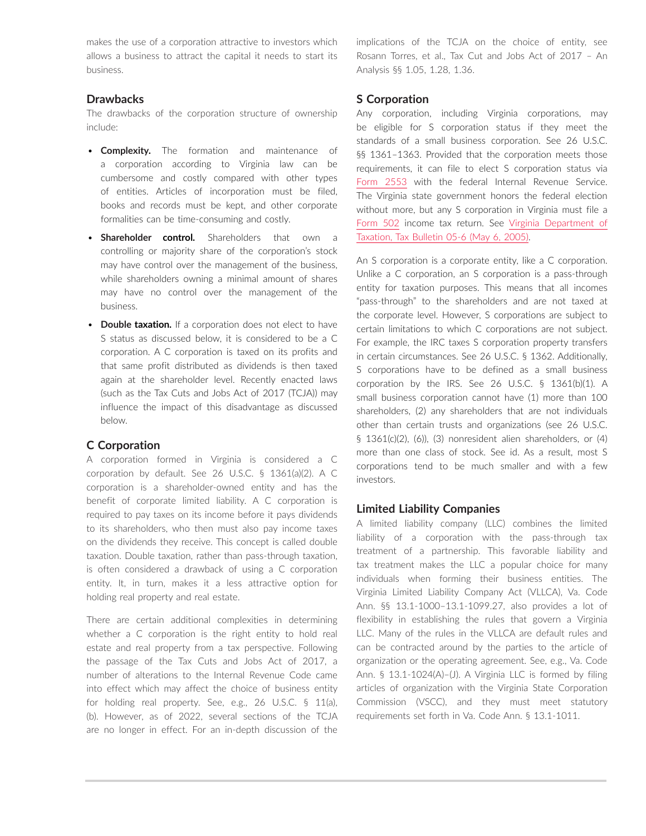makes the use of a corporation attractive to investors which allows a business to attract the capital it needs to start its business.

## **Drawbacks**

The drawbacks of the corporation structure of ownership include:

- **Complexity.** The formation and maintenance of a corporation according to Virginia law can be cumbersome and costly compared with other types of entities. Articles of incorporation must be filed, books and records must be kept, and other corporate formalities can be time-consuming and costly.
- **Shareholder control.** Shareholders that own a controlling or majority share of the corporation's stock may have control over the management of the business, while shareholders owning a minimal amount of shares may have no control over the management of the business.
- **Double taxation.** If a corporation does not elect to have S status as discussed below, it is considered to be a C corporation. A C corporation is taxed on its profits and that same profit distributed as dividends is then taxed again at the shareholder level. Recently enacted laws (such as the Tax Cuts and Jobs Act of 2017 (TCJA)) may influence the impact of this disadvantage as discussed below.

#### **C Corporation**

A corporation formed in Virginia is considered a C corporation by default. See 26 U.S.C. § 1361(a)(2). A C corporation is a shareholder-owned entity and has the benefit of corporate limited liability. A C corporation is required to pay taxes on its income before it pays dividends to its shareholders, who then must also pay income taxes on the dividends they receive. This concept is called double taxation. Double taxation, rather than pass-through taxation, is often considered a drawback of using a C corporation entity. It, in turn, makes it a less attractive option for holding real property and real estate.

There are certain additional complexities in determining whether a C corporation is the right entity to hold real estate and real property from a tax perspective. Following the passage of the Tax Cuts and Jobs Act of 2017, a number of alterations to the Internal Revenue Code came into effect which may affect the choice of business entity for holding real property. See, e.g., 26 U.S.C. § 11(a), (b). However, as of 2022, several sections of the TCJA are no longer in effect. For an in-depth discussion of the implications of the TCJA on the choice of entity, see Rosann Torres, et al., Tax Cut and Jobs Act of 2017 – An Analysis §§ 1.05, 1.28, 1.36.

### **S Corporation**

Any corporation, including Virginia corporations, may be eligible for S corporation status if they meet the standards of a small business corporation. See 26 U.S.C. §§ 1361-1363. Provided that the corporation meets those requirements, it can file to elect S corporation status via [Form 2553](https://www.irs.gov/pub/irs-pdf/f2553.pdf) with the federal Internal Revenue Service. The Virginia state government honors the federal election without more, but any S corporation in Virginia must file a [Form 502](https://www.tax.virginia.gov/sites/default/files/taxforms/corporation-and-pass-through-entity-tax/2020/502-2020.pdf) income tax return. See [Virginia Department of](https://www.tax.virginia.gov/laws-rules-decisions/tax-bulletins/05-6)  [Taxation, Tax Bulletin 05-6 \(May 6, 2005\)](https://www.tax.virginia.gov/laws-rules-decisions/tax-bulletins/05-6).

An S corporation is a corporate entity, like a C corporation. Unlike a C corporation, an S corporation is a pass-through entity for taxation purposes. This means that all incomes "pass-through" to the shareholders and are not taxed at the corporate level. However, S corporations are subject to certain limitations to which C corporations are not subject. For example, the IRC taxes S corporation property transfers in certain circumstances. See 26 U.S.C. § 1362. Additionally, S corporations have to be defined as a small business corporation by the IRS. See 26 U.S.C. § 1361(b)(1). A small business corporation cannot have (1) more than 100 shareholders, (2) any shareholders that are not individuals other than certain trusts and organizations (see 26 U.S.C. § 1361(c)(2), (6)), (3) nonresident alien shareholders, or (4) more than one class of stock. See id. As a result, most S corporations tend to be much smaller and with a few investors.

#### **Limited Liability Companies**

A limited liability company (LLC) combines the limited liability of a corporation with the pass-through tax treatment of a partnership. This favorable liability and tax treatment makes the LLC a popular choice for many individuals when forming their business entities. The Virginia Limited Liability Company Act (VLLCA), Va. Code Ann. §§ 13.1-1000–13.1-1099.27, also provides a lot of flexibility in establishing the rules that govern a Virginia LLC. Many of the rules in the VLLCA are default rules and can be contracted around by the parties to the article of organization or the operating agreement. See, e.g., Va. Code Ann. § 13.1-1024(A)–(J). A Virginia LLC is formed by filing articles of organization with the Virginia State Corporation Commission (VSCC), and they must meet statutory requirements set forth in Va. Code Ann. § 13.1-1011.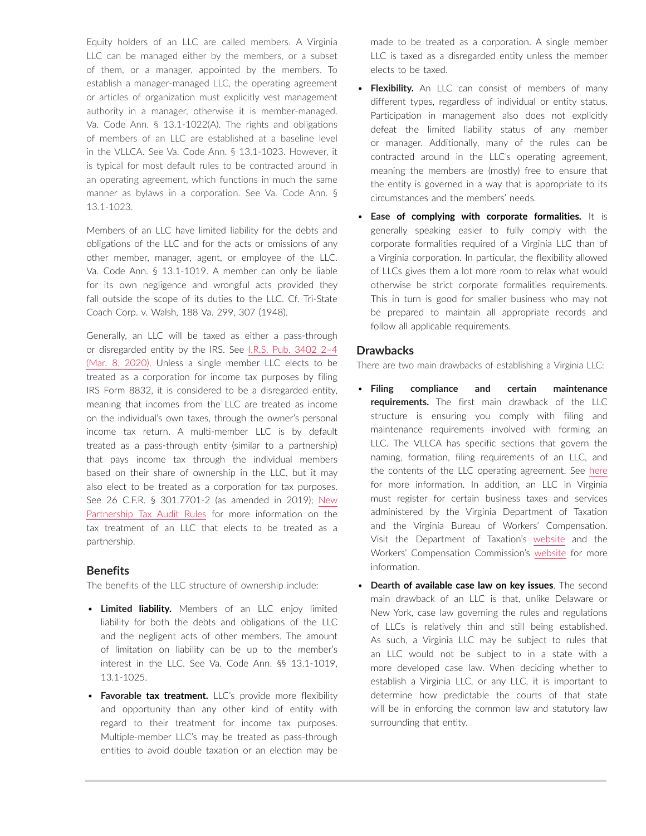Equity holders of an LLC are called members. A Virginia LLC can be managed either by the members, or a subset of them, or a manager, appointed by the members. To establish a manager-managed LLC, the operating agreement or articles of organization must explicitly vest management authority in a manager, otherwise it is member-managed. Va. Code Ann. § 13.1-1022(A). The rights and obligations of members of an LLC are established at a baseline level in the VLLCA. See Va. Code Ann. § 13.1-1023. However, it is typical for most default rules to be contracted around in an operating agreement, which functions in much the same manner as bylaws in a corporation. See Va. Code Ann. § 13.1-1023.

Members of an LLC have limited liability for the debts and obligations of the LLC and for the acts or omissions of any other member, manager, agent, or employee of the LLC. Va. Code Ann. § 13.1-1019. A member can only be liable for its own negligence and wrongful acts provided they fall outside the scope of its duties to the LLC. Cf. Tri-State Coach Corp. v. Walsh, 188 Va. 299, 307 (1948).

Generally, an LLC will be taxed as either a pass-through or disregarded entity by the IRS. See [I.R.S. Pub. 3402 2–4](https://www.irs.gov/publications/p3402) [\(Mar. 8, 2020\)](https://www.irs.gov/publications/p3402). Unless a single member LLC elects to be treated as a corporation for income tax purposes by filing IRS Form 8832, it is considered to be a disregarded entity, meaning that incomes from the LLC are treated as income on the individual's own taxes, through the owner's personal income tax return. A multi-member LLC is by default treated as a pass-through entity (similar to a partnership) that pays income tax through the individual members based on their share of ownership in the LLC, but it may also elect to be treated as a corporation for tax purposes. See 26 C.F.R. § 301.7701-2 (as amended in 2019); [New](https://advance.lexis.com/open/document/lpadocument/?pdmfid=1000522&pddocfullpath=%2Fshared%2Fdocument%2Fanalytical-materials%2Furn%3AcontentItem%3A5SGY-5MX1-F30T-B0HV-00000-00&pdcontentcomponentid=500749&pdteaserkey=sr0&pditab=allpods&ecomp=-trg&earg=sr0)  [Partnership Tax Audit Rules](https://advance.lexis.com/open/document/lpadocument/?pdmfid=1000522&pddocfullpath=%2Fshared%2Fdocument%2Fanalytical-materials%2Furn%3AcontentItem%3A5SGY-5MX1-F30T-B0HV-00000-00&pdcontentcomponentid=500749&pdteaserkey=sr0&pditab=allpods&ecomp=-trg&earg=sr0) for more information on the tax treatment of an LLC that elects to be treated as a partnership.

#### **Benefits**

The benefits of the LLC structure of ownership include:

- **Limited liability.** Members of an LLC enjoy limited liability for both the debts and obligations of the LLC and the negligent acts of other members. The amount of limitation on liability can be up to the member's interest in the LLC. See Va. Code Ann. §§ 13.1-1019, 13.1-1025.
- **Favorable tax treatment.** LLC's provide more flexibility and opportunity than any other kind of entity with regard to their treatment for income tax purposes. Multiple-member LLC's may be treated as pass-through entities to avoid double taxation or an election may be

made to be treated as a corporation. A single member LLC is taxed as a disregarded entity unless the member elects to be taxed.

- **Flexibility.** An LLC can consist of members of many different types, regardless of individual or entity status. Participation in management also does not explicitly defeat the limited liability status of any member or manager. Additionally, many of the rules can be contracted around in the LLC's operating agreement, meaning the members are (mostly) free to ensure that the entity is governed in a way that is appropriate to its circumstances and the members' needs.
- **Ease of complying with corporate formalities.** It is generally speaking easier to fully comply with the corporate formalities required of a Virginia LLC than of a Virginia corporation. In particular, the flexibility allowed of LLCs gives them a lot more room to relax what would otherwise be strict corporate formalities requirements. This in turn is good for smaller business who may not be prepared to maintain all appropriate records and follow all applicable requirements.

#### **Drawbacks**

There are two main drawbacks of establishing a Virginia LLC:

- **Filing compliance and certain maintenance requirements.** The first main drawback of the LLC structure is ensuring you comply with filing and maintenance requirements involved with forming an LLC. The VLLCA has specific sections that govern the naming, formation, filing requirements of an LLC, and the contents of the LLC operating agreement. See [here](https://www.scc.virginia.gov/pages/New-Business-Resources) for more information. In addition, an LLC in Virginia must register for certain business taxes and services administered by the Virginia Department of Taxation and the Virginia Bureau of Workers' Compensation. Visit the Department of Taxation's [website](https://www.tax.virginia.gov/pass-through-entities) and the Workers' Compensation Commission's [website](https://workcomp.virginia.gov/) for more information.
- **Dearth of available case law on key issues**. The second main drawback of an LLC is that, unlike Delaware or New York, case law governing the rules and regulations of LLCs is relatively thin and still being established. As such, a Virginia LLC may be subject to rules that an LLC would not be subject to in a state with a more developed case law. When deciding whether to establish a Virginia LLC, or any LLC, it is important to determine how predictable the courts of that state will be in enforcing the common law and statutory law surrounding that entity.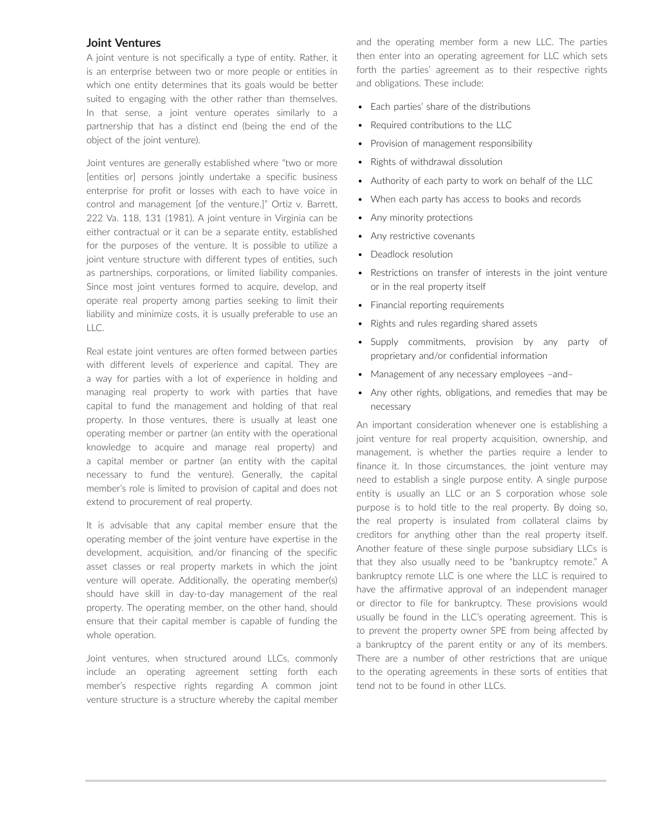#### **Joint Ventures**

A joint venture is not specifically a type of entity. Rather, it is an enterprise between two or more people or entities in which one entity determines that its goals would be better suited to engaging with the other rather than themselves. In that sense, a joint venture operates similarly to a partnership that has a distinct end (being the end of the object of the joint venture).

Joint ventures are generally established where "two or more [entities or] persons jointly undertake a specific business enterprise for profit or losses with each to have voice in control and management [of the venture.]" Ortiz v. Barrett, 222 Va. 118, 131 (1981). A joint venture in Virginia can be either contractual or it can be a separate entity, established for the purposes of the venture. It is possible to utilize a joint venture structure with different types of entities, such as partnerships, corporations, or limited liability companies. Since most joint ventures formed to acquire, develop, and operate real property among parties seeking to limit their liability and minimize costs, it is usually preferable to use an LLC.

Real estate joint ventures are often formed between parties with different levels of experience and capital. They are a way for parties with a lot of experience in holding and managing real property to work with parties that have capital to fund the management and holding of that real property. In those ventures, there is usually at least one operating member or partner (an entity with the operational knowledge to acquire and manage real property) and a capital member or partner (an entity with the capital necessary to fund the venture). Generally, the capital member's role is limited to provision of capital and does not extend to procurement of real property.

It is advisable that any capital member ensure that the operating member of the joint venture have expertise in the development, acquisition, and/or financing of the specific asset classes or real property markets in which the joint venture will operate. Additionally, the operating member(s) should have skill in day-to-day management of the real property. The operating member, on the other hand, should ensure that their capital member is capable of funding the whole operation.

Joint ventures, when structured around LLCs, commonly include an operating agreement setting forth each member's respective rights regarding A common joint venture structure is a structure whereby the capital member and the operating member form a new LLC. The parties then enter into an operating agreement for LLC which sets forth the parties' agreement as to their respective rights and obligations. These include:

- Each parties' share of the distributions
- Required contributions to the LLC
- Provision of management responsibility
- Rights of withdrawal dissolution
- Authority of each party to work on behalf of the LLC
- When each party has access to books and records
- Any minority protections
- Any restrictive covenants
- Deadlock resolution
- Restrictions on transfer of interests in the joint venture or in the real property itself
- Financial reporting requirements
- Rights and rules regarding shared assets
- Supply commitments, provision by any party of proprietary and/or confidential information
- Management of any necessary employees –and–
- Any other rights, obligations, and remedies that may be necessary

An important consideration whenever one is establishing a joint venture for real property acquisition, ownership, and management, is whether the parties require a lender to finance it. In those circumstances, the joint venture may need to establish a single purpose entity. A single purpose entity is usually an LLC or an S corporation whose sole purpose is to hold title to the real property. By doing so, the real property is insulated from collateral claims by creditors for anything other than the real property itself. Another feature of these single purpose subsidiary LLCs is that they also usually need to be "bankruptcy remote." A bankruptcy remote LLC is one where the LLC is required to have the affirmative approval of an independent manager or director to file for bankruptcy. These provisions would usually be found in the LLC's operating agreement. This is to prevent the property owner SPE from being affected by a bankruptcy of the parent entity or any of its members. There are a number of other restrictions that are unique to the operating agreements in these sorts of entities that tend not to be found in other LLCs.